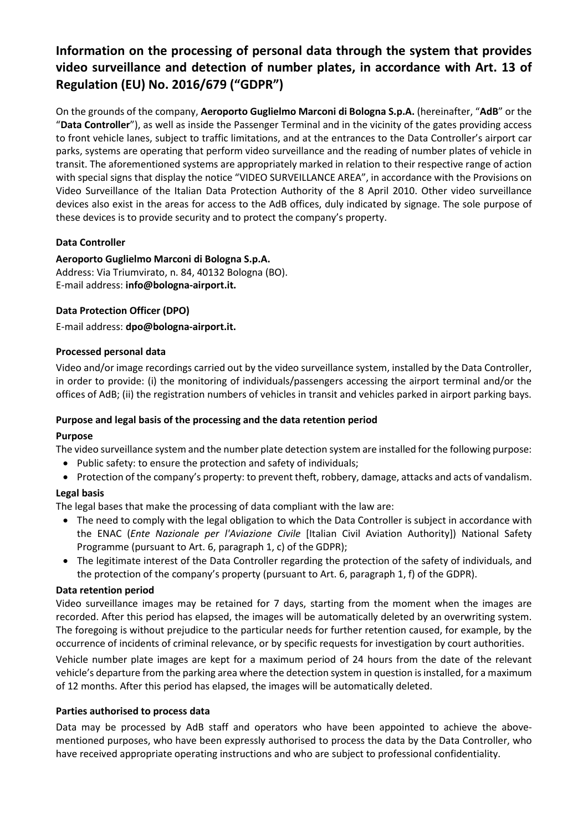# **Information on the processing of personal data through the system that provides video surveillance and detection of number plates, in accordance with Art. 13 of Regulation (EU) No. 2016/679 ("GDPR")**

On the grounds of the company, **Aeroporto Guglielmo Marconi di Bologna S.p.A.** (hereinafter, "**AdB**" or the "**Data Controller**"), as well as inside the Passenger Terminal and in the vicinity of the gates providing access to front vehicle lanes, subject to traffic limitations, and at the entrances to the Data Controller's airport car parks, systems are operating that perform video surveillance and the reading of number plates of vehicle in transit. The aforementioned systems are appropriately marked in relation to their respective range of action with special signs that display the notice "VIDEO SURVEILLANCE AREA", in accordance with the Provisions on Video Surveillance of the Italian Data Protection Authority of the 8 April 2010. Other video surveillance devices also exist in the areas for access to the AdB offices, duly indicated by signage. The sole purpose of these devices is to provide security and to protect the company's property.

# **Data Controller**

# **Aeroporto Guglielmo Marconi di Bologna S.p.A.**

Address: Via Triumvirato, n. 84, 40132 Bologna (BO). E-mail address: **info@bologna-airport.it.**

## **Data Protection Officer (DPO)**

E-mail address: **dpo@bologna-airport.it.**

## **Processed personal data**

Video and/or image recordings carried out by the video surveillance system, installed by the Data Controller, in order to provide: (i) the monitoring of individuals/passengers accessing the airport terminal and/or the offices of AdB; (ii) the registration numbers of vehicles in transit and vehicles parked in airport parking bays.

## **Purpose and legal basis of the processing and the data retention period**

## **Purpose**

The video surveillance system and the number plate detection system are installed for the following purpose:

- Public safety: to ensure the protection and safety of individuals;
- Protection of the company's property: to prevent theft, robbery, damage, attacks and acts of vandalism.

## **Legal basis**

The legal bases that make the processing of data compliant with the law are:

- The need to comply with the legal obligation to which the Data Controller is subject in accordance with the ENAC (*Ente Nazionale per l'Aviazione Civile* [Italian Civil Aviation Authority]) National Safety Programme (pursuant to Art. 6, paragraph 1, c) of the GDPR);
- The legitimate interest of the Data Controller regarding the protection of the safety of individuals, and the protection of the company's property (pursuant to Art. 6, paragraph 1, f) of the GDPR).

## **Data retention period**

Video surveillance images may be retained for 7 days, starting from the moment when the images are recorded. After this period has elapsed, the images will be automatically deleted by an overwriting system. The foregoing is without prejudice to the particular needs for further retention caused, for example, by the occurrence of incidents of criminal relevance, or by specific requests for investigation by court authorities.

Vehicle number plate images are kept for a maximum period of 24 hours from the date of the relevant vehicle's departure from the parking area where the detection system in question is installed, for a maximum of 12 months. After this period has elapsed, the images will be automatically deleted.

## **Parties authorised to process data**

Data may be processed by AdB staff and operators who have been appointed to achieve the abovementioned purposes, who have been expressly authorised to process the data by the Data Controller, who have received appropriate operating instructions and who are subject to professional confidentiality.